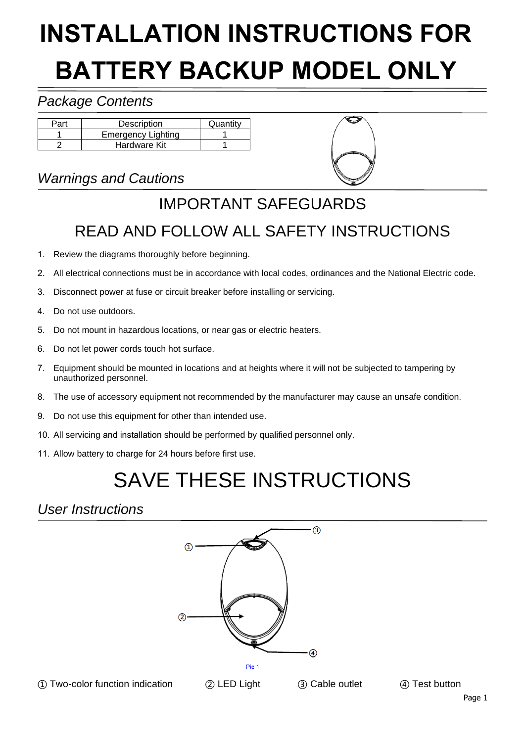# **INSTALLATION INSTRUCTIONS FOR BATTERY BACKUP MODEL ONLY**

#### *Package Contents*

| Part | Description               | Quantity |
|------|---------------------------|----------|
|      | <b>Emergency Lighting</b> |          |
|      | Hardware Kit              |          |

### *Warnings and Cautions*



# IMPORTANT SAFEGUARDS

### READ AND FOLLOW ALL SAFETY INSTRUCTIONS

- 1. Review the diagrams thoroughly before beginning.
- 2. All electrical connections must be in accordance with local codes, ordinances and the National Electric code.
- 3. Disconnect power at fuse or circuit breaker before installing or servicing.
- 4. Do not use outdoors.
- 5. Do not mount in hazardous locations, or near gas or electric heaters.
- 6. Do not let power cords touch hot surface.
- 7. Equipment should be mounted in locations and at heights where it will not be subjected to tampering by unauthorized personnel.
- 8. The use of accessory equipment not recommended by the manufacturer may cause an unsafe condition.
- 9. Do not use this equipment for other than intended use.
- 10. All servicing and installation should be performed by qualified personnel only.
- 11. Allow battery to charge for 24 hours before first use.

# SAVE THESE INSTRUCTIONS

#### *User Instructions*



① Two-color function indication ② LED Light ③ Cable outlet ④ Test button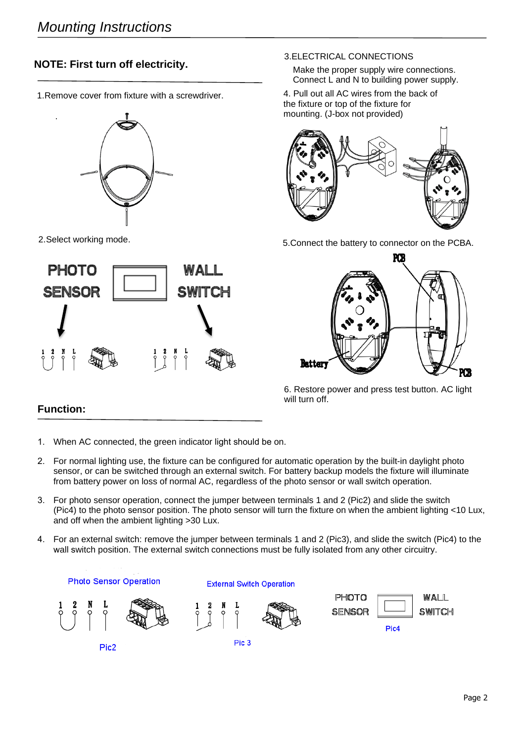#### **NOTE: First turn off electricity.**

1. Remove cover from fixture with a screwdriver.



2.Select working mode.

.



#### 3.ELECTRICAL CONNECTIONS

Make the proper supply wire connections. Connect L and N to building power supply.

4. Pull out all AC wires from the back of the fixture or top of the fixture for mounting. (J-box not provided)



5.Connect the battery to connector on the PCBA.



6. Restore power and press test button. AC light will turn off.

#### **Function:**

- 1. When AC connected, the green indicator light should be on.
- 2. For normal lighting use, the fixture can be configured for automatic operation by the built-in daylight photo sensor, or can be switched through an external switch. For battery backup models the fixture will illuminate from battery power on loss of normal AC, regardless of the photo sensor or wall switch operation.
- 3. For photo sensor operation, connect the jumper between terminals 1 and 2 (Pic2) and slide the switch (Pic4) to the photo sensor position. The photo sensor will turn the fixture on when the ambient lighting <10 Lux, and off when the ambient lighting >30 Lux.
- 4. For an external switch: remove the jumper between terminals 1 and 2 (Pic3), and slide the switch (Pic4) to the wall switch position. The external switch connections must be fully isolated from any other circuitry.

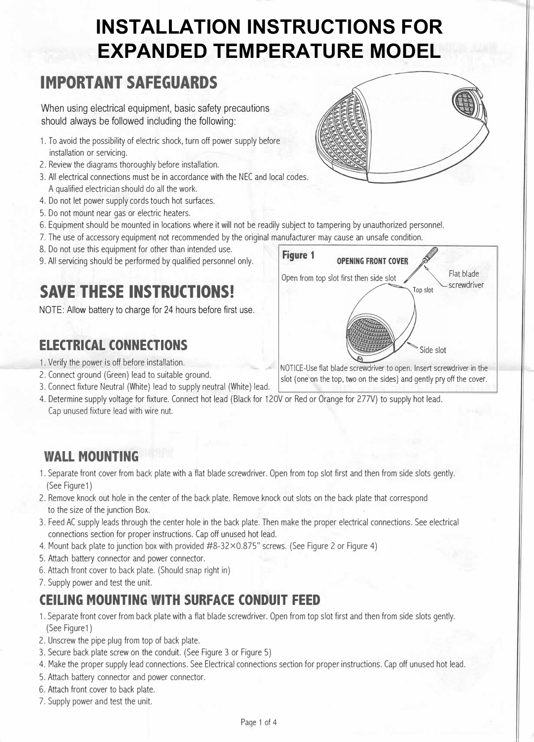# **INSTALLATION INSTRUCTIONS FOR EXPANDED TEMPERATURE MODEL**

# **IMPORTANT SAFEGUARDS**

When using electrical equipment, basic safety precautions should always be followed including the following:

- 1. To avoid the possibility of electric shock, turn off power supply before installation or servicing.
- 2. Review the diagrams thoroughly before installation.
- 3. All electrical connections must be in accordance with the NEC and local codes. A qualified electrician should do all the work.
- 4. Do not let power supply cords touch hot surfaces.
- 5. Do not mount near gas or electric heaters.
- 6. Equipment should be mounted in locations where it will not be readily subject to tampering by unauthorized personnel.
- 7. The use of accessory equipment not recommended by the original manufacturer may cause an unsafe condition.
- 8. Do not use this equipment for other than intended use.
- 9. All servicing should be performed by qualified personnel only.

# **SAVE THESE INSTRUCTIONS!**

NOTE: Allow battery to charge for 24 hours before first use.

### **ELECTRICAL CONNECTIONS**

- 1. Verify the power is off before installation.
- 2. Connect ground (Green) lead to suitable ground.
- 3. Connect fixture Neutral (White) lead to supply neutral (White) lead.
- 4. Determine supply voltage for fixture. Connect hot lead (Black for 12OV or Red or Orange for 277V) to supply hot lead. Cap unused fixture lead with wire nut.

#### **WALL MOUNTING**

- 1. Separate front cover from back plate with a flat blade screwdriver. Open from top slot first and then from side slots gently. (See Figure 1)
- 2. Remove knock out hole in the center of the back plate. Remove knock out slots on the back plate that correspond to the size of the junction Box.
- 3. Feed AC supply leads through the center hole in the back plate. Then make the proper electrical connections. See electrical connections section for proper instructions. Cap off unused hot lead.
- 4. Mount back plate to junction box with provided #8-32×0.875" screws. (See Figure 2 or Figure 4)
- 5. Attach battery connector and power connector.
- 6. Attach front cover to back plate. (Should snap right in)
- 7. Supply power and test the unit.

### **CEILING MOUNTING WITH SURFACE CONDUIT FEED**

- 1. Separate front cover from back plate with a flat blade screwdriver. Open from top slot first and then from side slots gently. (See Figure 1)
- 2. Unscrew the pipe plug from top of back plate.
- 3. Secure back plate screw on the conduit. (See Figure 3 or Figure 5)
- 4. Make the proper supply lead connections. See Electrical connections section for proper instructions. Cap off unused hot lead.

Page 1 of 4

- 5. Attach battery connector and power connector.
- 6. Attach front cover to back plate.
- 7. Supply power and test the unit.



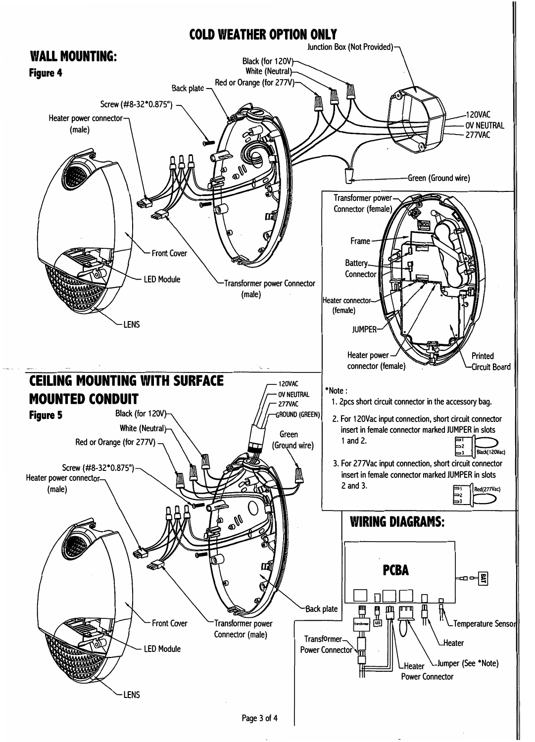